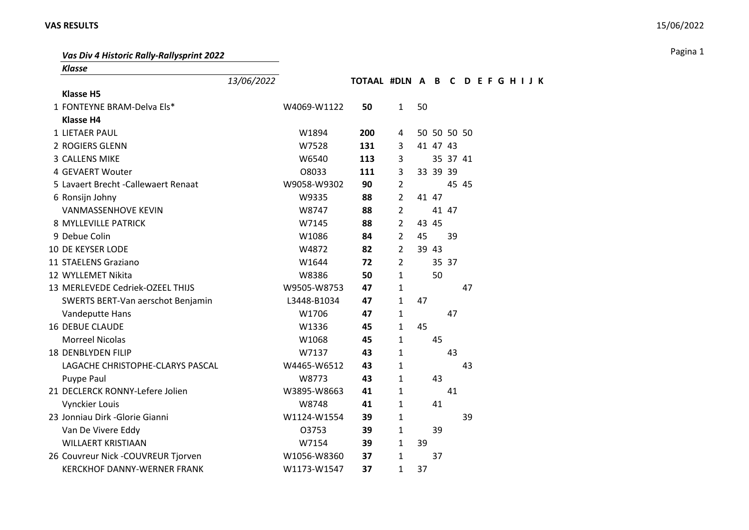Pagina 1 *Vas Div 4 Historic Rally-Rallysprint 2022*

| <b>Klasse</b>                        |            |             |                   |                |    |          |             |          |  |  |  |
|--------------------------------------|------------|-------------|-------------------|----------------|----|----------|-------------|----------|--|--|--|
|                                      | 13/06/2022 |             | TOTAAL #DLN A B C |                |    |          |             | DEFGHIJK |  |  |  |
| <b>Klasse H5</b>                     |            |             |                   |                |    |          |             |          |  |  |  |
| 1 FONTEYNE BRAM-Delva Els*           |            | W4069-W1122 | 50                | $\mathbf{1}$   | 50 |          |             |          |  |  |  |
| <b>Klasse H4</b>                     |            |             |                   |                |    |          |             |          |  |  |  |
| <b>1 LIETAER PAUL</b>                |            | W1894       | 200               | 4              |    |          | 50 50 50 50 |          |  |  |  |
| 2 ROGIERS GLENN                      |            | W7528       | 131               | 3              |    | 41 47 43 |             |          |  |  |  |
| 3 CALLENS MIKE                       |            | W6540       | 113               | 3              |    |          | 35 37 41    |          |  |  |  |
| 4 GEVAERT Wouter                     |            | O8033       | 111               | 3              |    | 33 39 39 |             |          |  |  |  |
| 5 Lavaert Brecht - Callewaert Renaat |            | W9058-W9302 | 90                | $\overline{2}$ |    |          |             | 45 45    |  |  |  |
| 6 Ronsijn Johny                      |            | W9335       | 88                | $\overline{2}$ |    | 41 47    |             |          |  |  |  |
| <b>VANMASSENHOVE KEVIN</b>           |            | W8747       | 88                | $\overline{2}$ |    |          | 41 47       |          |  |  |  |
| 8 MYLLEVILLE PATRICK                 |            | W7145       | 88                | $\overline{2}$ |    | 43 45    |             |          |  |  |  |
| 9 Debue Colin                        |            | W1086       | 84                | $\overline{2}$ | 45 |          | 39          |          |  |  |  |
| <b>10 DE KEYSER LODE</b>             |            | W4872       | 82                | $\overline{2}$ |    | 39 43    |             |          |  |  |  |
| 11 STAELENS Graziano                 |            | W1644       | 72                | $\overline{2}$ |    |          | 35 37       |          |  |  |  |
| 12 WYLLEMET Nikita                   |            | W8386       | 50                | $\mathbf{1}$   |    | 50       |             |          |  |  |  |
| 13 MERLEVEDE Cedriek-OZEEL THIJS     |            | W9505-W8753 | 47                | $\mathbf{1}$   |    |          |             | 47       |  |  |  |
| SWERTS BERT-Van aerschot Benjamin    |            | L3448-B1034 | 47                | $\mathbf{1}$   | 47 |          |             |          |  |  |  |
| Vandeputte Hans                      |            | W1706       | 47                | 1              |    |          | 47          |          |  |  |  |
| <b>16 DEBUE CLAUDE</b>               |            | W1336       | 45                | 1              | 45 |          |             |          |  |  |  |
| <b>Morreel Nicolas</b>               |            | W1068       | 45                | 1              |    | 45       |             |          |  |  |  |
| 18 DENBLYDEN FILIP                   |            | W7137       | 43                | $\mathbf{1}$   |    |          | 43          |          |  |  |  |
| LAGACHE CHRISTOPHE-CLARYS PASCAL     |            | W4465-W6512 | 43                | $\mathbf{1}$   |    |          |             | 43       |  |  |  |
| Puype Paul                           |            | W8773       | 43                | $\mathbf{1}$   |    | 43       |             |          |  |  |  |
| 21 DECLERCK RONNY-Lefere Jolien      |            | W3895-W8663 | 41                | $\mathbf{1}$   |    |          | 41          |          |  |  |  |
| Vynckier Louis                       |            | W8748       | 41                | $\mathbf{1}$   |    | 41       |             |          |  |  |  |
| 23 Jonniau Dirk - Glorie Gianni      |            | W1124-W1554 | 39                | 1              |    |          |             | 39       |  |  |  |
| Van De Vivere Eddy                   |            | 03753       | 39                | 1              |    | 39       |             |          |  |  |  |
| <b>WILLAERT KRISTIAAN</b>            |            | W7154       | 39                | 1              | 39 |          |             |          |  |  |  |
| 26 Couvreur Nick -COUVREUR Tjorven   |            | W1056-W8360 | 37                | $\mathbf{1}$   |    | 37       |             |          |  |  |  |
| <b>KERCKHOF DANNY-WERNER FRANK</b>   |            | W1173-W1547 | 37                | $\mathbf{1}$   | 37 |          |             |          |  |  |  |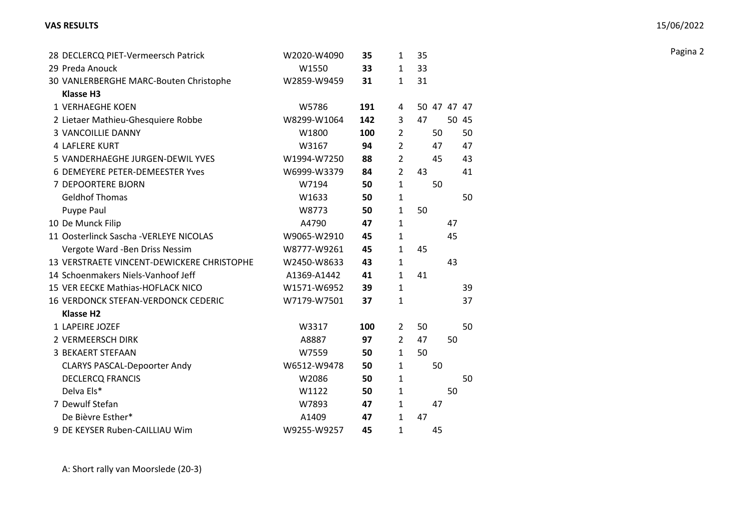| 28 DECLERCQ PIET-Vermeersch Patrick        | W2020-W4090 | 35  | 1              | 35          |    |       |
|--------------------------------------------|-------------|-----|----------------|-------------|----|-------|
| 29 Preda Anouck                            | W1550       | 33  | $\mathbf{1}$   | 33          |    |       |
| 30 VANLERBERGHE MARC-Bouten Christophe     | W2859-W9459 | 31  | $\mathbf{1}$   | 31          |    |       |
| <b>Klasse H3</b>                           |             |     |                |             |    |       |
| 1 VERHAEGHE KOEN                           | W5786       | 191 | 4              | 50 47 47 47 |    |       |
| 2 Lietaer Mathieu-Ghesquiere Robbe         | W8299-W1064 | 142 | 3              | 47          |    | 50 45 |
| <b>3 VANCOILLIE DANNY</b>                  | W1800       | 100 | $\overline{2}$ | 50          |    | 50    |
| <b>4 LAFLERE KURT</b>                      | W3167       | 94  | $\overline{2}$ | 47          |    | 47    |
| 5 VANDERHAEGHE JURGEN-DEWIL YVES           | W1994-W7250 | 88  | $\overline{2}$ | 45          |    | 43    |
| 6 DEMEYERE PETER-DEMEESTER Yves            | W6999-W3379 | 84  | $\overline{2}$ | 43          |    | 41    |
| 7 DEPOORTERE BJORN                         | W7194       | 50  | $\mathbf{1}$   | 50          |    |       |
| <b>Geldhof Thomas</b>                      | W1633       | 50  | $\mathbf{1}$   |             |    | 50    |
| Puype Paul                                 | W8773       | 50  | $\mathbf{1}$   | 50          |    |       |
| 10 De Munck Filip                          | A4790       | 47  | $\mathbf{1}$   |             | 47 |       |
| 11 Oosterlinck Sascha - VERLEYE NICOLAS    | W9065-W2910 | 45  | $\mathbf{1}$   |             | 45 |       |
| Vergote Ward - Ben Driss Nessim            | W8777-W9261 | 45  | $\mathbf{1}$   | 45          |    |       |
| 13 VERSTRAETE VINCENT-DEWICKERE CHRISTOPHE | W2450-W8633 | 43  | 1              |             | 43 |       |
| 14 Schoenmakers Niels-Vanhoof Jeff         | A1369-A1442 | 41  | $\mathbf{1}$   | 41          |    |       |
| 15 VER EECKE Mathias-HOFLACK NICO          | W1571-W6952 | 39  | $\mathbf{1}$   |             |    | 39    |
| 16 VERDONCK STEFAN-VERDONCK CEDERIC        | W7179-W7501 | 37  | $\mathbf{1}$   |             |    | 37    |
| <b>Klasse H2</b>                           |             |     |                |             |    |       |
| 1 LAPEIRE JOZEF                            | W3317       | 100 | $\overline{2}$ | 50          |    | 50    |
| 2 VERMEERSCH DIRK                          | A8887       | 97  | $\overline{2}$ | 47          | 50 |       |
| <b>3 BEKAERT STEFAAN</b>                   | W7559       | 50  | $\mathbf{1}$   | 50          |    |       |
| <b>CLARYS PASCAL-Depoorter Andy</b>        | W6512-W9478 | 50  | $\mathbf{1}$   | 50          |    |       |
| <b>DECLERCQ FRANCIS</b>                    | W2086       | 50  | $\mathbf{1}$   |             |    | 50    |
| Delva Els*                                 | W1122       | 50  | $\mathbf{1}$   |             | 50 |       |
| 7 Dewulf Stefan                            | W7893       | 47  | $\mathbf{1}$   | 47          |    |       |
| De Bièvre Esther*                          | A1409       | 47  | $\mathbf{1}$   | 47          |    |       |
| 9 DE KEYSER Ruben-CAILLIAU Wim             | W9255-W9257 | 45  | $\mathbf{1}$   | 45          |    |       |

A: Short rally van Moorslede (20-3)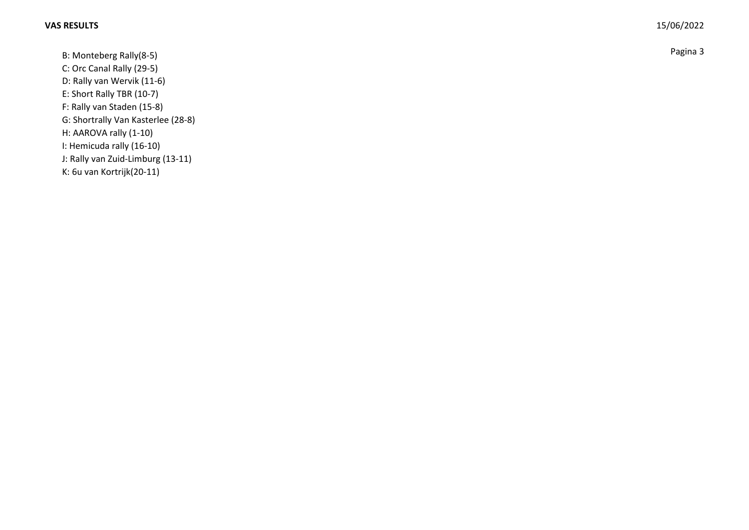B: Monteberg Rally(8-5) Pagina 3 C: Orc Canal Rally (29-5) D: Rally van Wervik (11-6) E: Short Rally TBR (10-7) F: Rally van Staden (15-8) G: Shortrally Van Kasterlee (28-8) H: AAROVA rally (1-10) I: Hemicuda rally (16-10) J: Rally van Zuid-Limburg (13-11)

K: 6u van Kortrijk(20-11)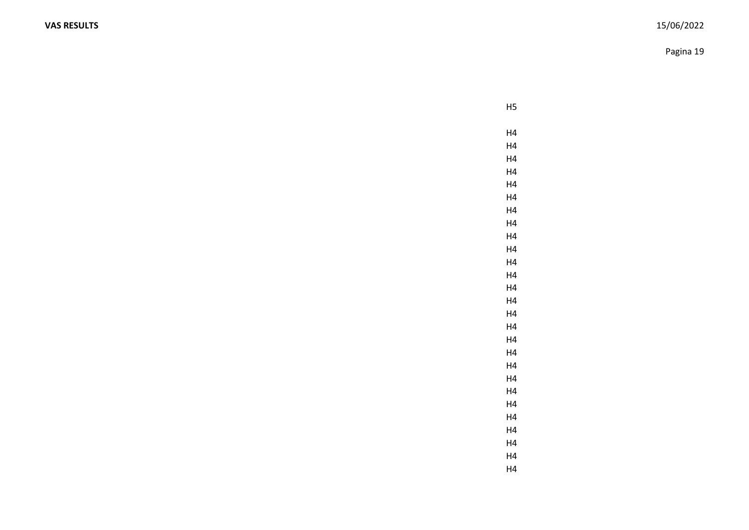Pagina 19

H5

H4 H4 H4 H4 H4 H4 H4 H4 H4 H4 H4 H4 H4 H4 H4 H4 H4 H4 H4 H4 H4 H4 H4 H4 H4 H4 H4